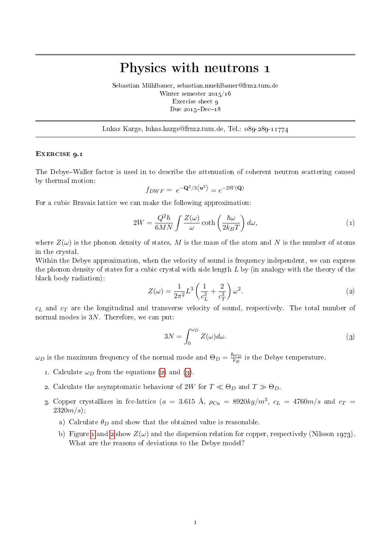## Physics with neutrons 1

Sebastian Mühlbauer, sebastian.muehlbauer@frm2.tum.de Winter semester 2015/16 Exercise sheet 9 Due  $2015 - Dec - 18$ 

Lukas Karge, lukas.karge@frm2.tum.de, Tel.: 089-289-11774

## EXERCISE 9.1

The Debye–Waller factor is used in to describe the attenuation of coherent neutron scattering caused by thermal motion:

$$
f_{DWF} = e^{-\mathbf{Q}^2/3 \langle \mathbf{u}^2 \rangle} = e^{-2W(\mathbf{Q})}
$$

For a cubic Bravais lattice we can make the following approximation:

<span id="page-0-2"></span>
$$
2W = \frac{Q^2 \hbar}{6MN} \int \frac{Z(\omega)}{\omega} \coth\left(\frac{\hbar \omega}{2k_B T}\right) d\omega, \tag{1}
$$

where  $Z(\omega)$  is the phonon density of states, M is the mass of the atom and N is the number of atoms in the crystal.

Within the Debye approximation, when the velocity of sound is frequency independent, we can express the phonon density of states for a cubic crystal with side length  $L$  by (in analogy with the theory of the black body radiation):

<span id="page-0-0"></span>
$$
Z(\omega) = \frac{1}{2\pi^2} L^3 \left(\frac{1}{c_L^3} + \frac{2}{c_T^3}\right) \omega^2.
$$
\n<sup>(2)</sup>

 $c<sub>L</sub>$  and  $c<sub>T</sub>$  are the longitudinal and transverse velocity of sound, respectively. The total number of normal modes is 3N. Therefore, we can put:

<span id="page-0-1"></span>
$$
3N = \int_0^{\omega_D} Z(\omega) d\omega.
$$
 (3)

 $\omega_D$  is the maximum frequency of the normal mode and  $\Theta_D = \frac{\hbar \omega_D}{k_B}$  $\frac{\omega_D}{k_B}$  is the Debye temperature.

- 1. Calculate  $\omega_D$  from the equations [\(2\)](#page-0-0) and [\(3\)](#page-0-1).
- 2. Calculate the asymptomatic behaviour of 2W for  $T \ll \Theta_D$  and  $T \gg \Theta_D$ .
- 3. Copper crystallizes in fcc-lattice ( $a = 3.615$  Å,  $\rho_{\rm Cu} = 8920 kg/m^3$ ,  $c_L = 4760 m/s$  and  $c_T =$  $2320m/s$ ;
	- a) Calculate  $\theta_D$  and show that the obtained value is reasonable.
	- b) Figure [1](#page-1-0) and [2](#page-1-1) show  $Z(\omega)$  and the dispersion relation for copper, respectively (Nilsson 1973). What are the reasons of deviations to the Debye model?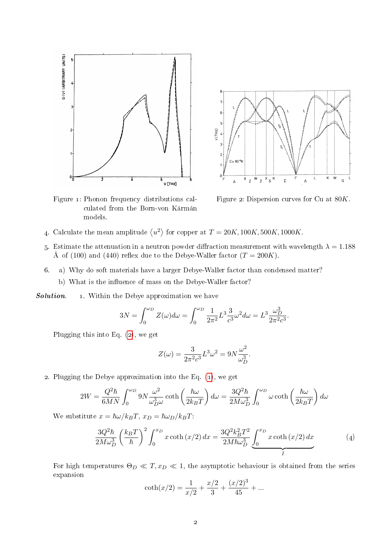



<span id="page-1-0"></span>Figure 1: Phonon frequency distributions calculated from the Born-von Kármán models.

<span id="page-1-1"></span>Figure 2: Dispersion curves for  $Cu$  at  $\ell$ Figure 2: Dispersion curves for Cu at  $80K$ .

- 'alculate the mean amplitude  $\langle u^2 \rangle$  for con  $\frac{m}{a}$  and  $\frac{m}{b}$  and  $\frac{m}{c}$  and  $\frac{m}{c}$  and  $\frac{m}{c}$  $E = 20K, 100K, 500K, 1000K$ 4. Calculate the mean amplitude  $\left\langle u^2 \right\rangle$  for copper at  $T = 20K, 100K, 500K, 1000K$ .
- stimate the attenuation in a neutron powder diffraction measurement with wavelength  $\lambda =$  $\frac{1}{2}$  (100)  $\frac{1}{2}$  (140)  $\frac{a}{2}$  is supported to be supported to be supported to be supported to be supported to be supported to be supported to be supported to be supported to be supported to be supported to be Å of (100) and (440) reflex due to the Debye-Waller factor ( $T = 200K$ ). 5. Estimate the attenuation in a neutron powder diffraction measurement with wavelength  $\lambda = 1.188$ <br> $\frac{1}{\lambda}$  (199)  $\frac{1}{\lambda}$  (449)  $\frac{0}{\lambda}$  = 1.449)  $\frac{1}{\lambda}$  = 1.449)  $\frac{1}{\lambda}$  = 1.449
- measurements, which shows that the Debye tema) Why do soft materials have a large peak  $\alpha$  and the real phonon width about  $\alpha$ 6. a) Why do soft materials have a larger Debye-Waller factor than condensed matter?
	- b) What is the influence of mass on the Debye-Waller factor?

**Solution.** 1. Within the Debye approximation we have

$$
3N = \int_0^{\omega_D} Z(\omega) d\omega = \int_0^{\omega_D} \frac{1}{2\pi^2} L^3 \frac{3}{c^3} \omega^2 d\omega = L^3 \frac{\omega_D^3}{2\pi^2 c^3}.
$$

Plugging this into Eq. [\(2\)](#page-0-0), we get

<span id="page-1-2"></span>
$$
Z(\omega) = \frac{3}{2\pi^2 c^3} L^3 \omega^2 = 9N \frac{\omega^2}{\omega_D^3}.
$$

2. Plugging the Debye approximation into the Eq. [\(1\)](#page-0-2), we get

$$
2W = \frac{Q^2 \hbar}{6MN} \int_0^{\omega_D} 9N \frac{\omega^2}{\omega_D^3 \omega} \coth\left(\frac{\hbar \omega}{2k_B T}\right) d\omega = \frac{3Q^2 \hbar}{2M\omega_D^3} \int_0^{\omega_D} \omega \coth\left(\frac{\hbar \omega}{2k_B T}\right) d\omega
$$

We substitute  $x = \hbar \omega / k_B T$ ,  $x_D = \hbar \omega_D / k_B T$ :

$$
\frac{3Q^2\hbar}{2M\omega_D^3} \left(\frac{k_B T}{\hbar}\right)^2 \int_0^{x_D} x \coth(x/2) \, dx = \frac{3Q^2 k_B^2 T^2}{2M\hbar\omega_D^3} \underbrace{\int_0^{x_D} x \coth(x/2) \, dx}_{I} \tag{4}
$$

For high temperatures  $\Theta_D \ll T, x_D \ll 1$ , the asymptotic behaviour is obtained from the series expansion

$$
\coth(x/2) = \frac{1}{x/2} + \frac{x/2}{3} + \frac{(x/2)^3}{45} + \dots
$$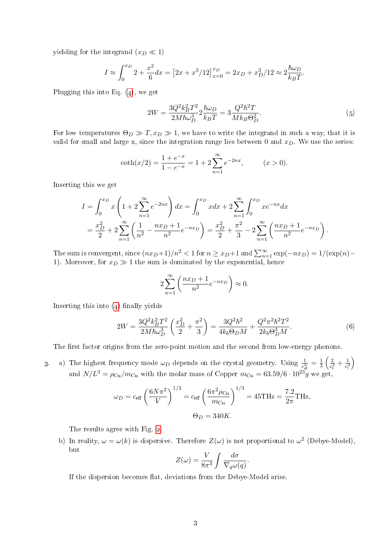yielding for the integrand  $(x_D \ll 1)$ 

$$
I \approx \int_0^{x_D} 2 + \frac{x^2}{6} dx = \left[ 2x + x^3 / 12 \right]_{x=0}^{x_D} = 2x_D + x_D^3 / 12 \approx 2 \frac{\hbar \omega_D}{k_B T}.
$$

Plugging this into Eq.  $(4)$ , we get

<span id="page-2-1"></span>
$$
2W = \frac{3Q^2k_B^2T^2}{2M\hbar\omega_D^3} 2\frac{\hbar\omega_D}{k_BT} = 3\frac{Q^2\hbar^2T}{Mk_B\Theta_D^2}.
$$
 (5)

For low temperatures  $\Theta_D \gg T$ ,  $x_D \gg 1$ , we have to write the integrand in such a way, that it is valid for small and large x, since the integration range lies between 0 and  $x_D$ . We use the series:

$$
\coth(x/2) = \frac{1 + e^{-x}}{1 - e^{-x}} = 1 + 2 \sum_{n=1}^{\infty} e^{-2nx}, \qquad (x > 0).
$$

Inserting this we get

$$
I = \int_0^{x_D} x \left( 1 + 2 \sum_{n=1}^{\infty} e^{-2nx} \right) dx = \int_0^{x_D} x dx + 2 \sum_{n=1}^{\infty} \int_0^{x_D} x e^{-nx} dx
$$
  
=  $\frac{x_D^2}{2} + 2 \sum_{n=1}^{\infty} \left( \frac{1}{n^2} - \frac{nx_D + 1}{n^2} e^{-nx_D} \right) = \frac{x_D^2}{2} + \frac{\pi^2}{3} - 2 \sum_{n=1}^{\infty} \left( \frac{nx_D + 1}{n^2} e^{-nx_D} \right).$ 

The sum is convergent, since  $(nx_D+1)/n^2 < 1$  for  $n \ge x_D+1$  and  $\sum_{n=1}^{\infty} \exp(-nx_D) = 1/(\exp(n) -$ 1). Moreover, for  $x_D \gg 1$  the sum is dominated by the exponential, hence

$$
2\sum_{n=1}^{\infty} \left(\frac{nx_D + 1}{n^2} e^{-nx_D}\right) \approx 0.
$$

Inserting this into  $(4)$  finally yields

<span id="page-2-0"></span>
$$
2W = \frac{3Q^2k_B^2T^2}{2M\hbar\omega_D^3} \left(\frac{x_D^2}{2} + \frac{\pi^2}{3}\right) = \frac{3Q^2\hbar^2}{4k_b\Theta_D M} + \frac{Q^2\pi^2\hbar^2T^2}{2k_b\Theta_D^3M}.
$$
 (6)

The first factor origins from the zero-point motion and the second from low-energy phonons.

3. a) The highest frequency mode  $\omega_D$  depends on the crystal geometry. Using  $\frac{1}{c_{\text{ef}}^3} = \frac{1}{3}$  $rac{1}{3}\left(\frac{2}{c_{\rm t}^2}\right)$  $\frac{2}{c_{\rm t}^3} + \frac{1}{c_{\rm l}}$  $\overline{c_1^3}$  $\setminus$ and  $N/L^3 = \rho_{\text{Cu}}/m_{\text{Cu}}$  with the molar mass of Copper  $m_{\text{Cu}} = 63.59/6 \cdot 10^{23} g$  we get,

$$
\omega_D = c_{\text{eff}} \left( \frac{6N\pi^2}{V} \right)^{1/3} = c_{\text{eff}} \left( \frac{6\pi^2 \rho_{\text{Cu}}}{m_{\text{Cu}}} \right)^{1/3} = 45 \text{THz} = \frac{7.2}{2\pi} \text{THz},
$$
  
\n $\Theta_D = 340 K.$ 

The results agree with Fig. [2.](#page-1-1)

b) In reality,  $\omega = \omega(k)$  is dispersive. Therefore  $Z(\omega)$  is not proportional to  $\omega^2$  (Debye-Model), but

$$
Z(\omega) = \frac{V}{8\pi^3} \int \frac{d\sigma}{\nabla_q \omega(q)}.
$$

If the dispersion becomes flat, deviations from the Debye-Model arise.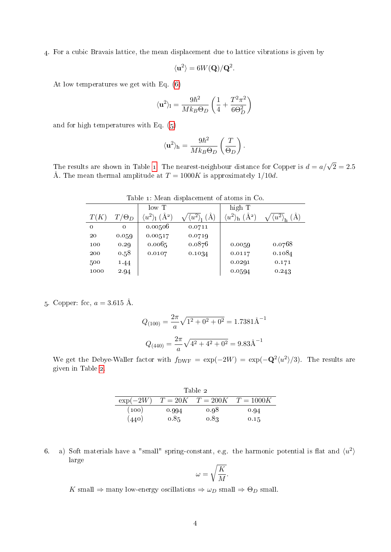4. For a cubic Bravais lattice, the mean displacement due to lattice vibrations is given by

$$
\langle \mathbf{u}^2 \rangle = 6W(\mathbf{Q})/\mathbf{Q}^2.
$$

At low temperatures we get with Eq. [\(6\)](#page-2-0)

$$
\langle {\bf u}^2 \rangle_{\rm l} = \frac{9\hbar^2}{Mk_B\Theta_D}\left(\frac{1}{4} + \frac{T^2\pi^2}{6\Theta_D^2}\right)
$$

and for high temperatures with Eq. [\(5\)](#page-2-1)

$$
\langle {\bf u}^2 \rangle_{\rm h} = \frac{9 \hbar^2}{M k_B \Theta_D} \left( \frac{T}{\Theta_D} \right).
$$

<span id="page-3-0"></span>The results are shown in Table [1.](#page-3-0) The nearest-neighbour distance for Copper is  $d=a/\sqrt{2}=2.5$ Å. The mean thermal amplitude at  $T = 1000K$  is approximately 1/10d.

| Table 1. Meall displacement of atoms in Co. |              |                                      |                                   |                                                        |                            |
|---------------------------------------------|--------------|--------------------------------------|-----------------------------------|--------------------------------------------------------|----------------------------|
|                                             |              | lowT                                 |                                   | high T                                                 |                            |
| T(K)                                        | $T/\Theta_D$ | $\langle u^2 \rangle_1$<br>$(\AA^2)$ | $\langle u^{\bar{2}\lambda}$<br>А | $\langle u^2 \rangle_{\rm h}$<br>$\langle A^2 \rangle$ | $\langle u^2 \rangle$<br>А |
| 0                                           | 0            | 0.00506                              | 0.0711                            |                                                        |                            |
| 20                                          | 0.059        | 0.00517                              | 0.0719                            |                                                        |                            |
| 100                                         | 0.29         | 0.0065                               | 0.0876                            | 0.0059                                                 | 0.0768                     |
| 200                                         | 0.58         | 0.0107                               | 0.1034                            | 0.0117                                                 | 0.1084                     |
| 500                                         | 1.44         |                                      |                                   | 0.0291                                                 | 0.171                      |
| 1000                                        | 2.94         |                                      |                                   | 0.0594                                                 | 0.243                      |

Table 1: Mean displacement of atoms in Co.

## 5. Copper: fcc,  $a = 3.615$  Å.

$$
Q_{(100)} = \frac{2\pi}{a}\sqrt{1^2 + 0^2 + 0^2} = 1.7381\text{\AA}^{-1}
$$

$$
Q_{(440)} = \frac{2\pi}{a}\sqrt{4^2 + 4^2 + 0^2} = 9.83\text{\AA}^{-1}
$$

<span id="page-3-1"></span>We get the Debye-Waller factor with  $f_{\text{DWF}} = \exp(-2W) = \exp(-Q^2 \langle u^2 \rangle / 3)$ . The results are given in Table [2.](#page-3-1)

| Table 2     |       |      |                                  |  |  |  |
|-------------|-------|------|----------------------------------|--|--|--|
| $\exp(-2W)$ |       |      | $T = 20K$ $T = 200K$ $T = 1000K$ |  |  |  |
| (100)       | 0.994 | 0.98 | 0.94                             |  |  |  |
| (440)       | 0.85  | 0.83 | 0.15                             |  |  |  |

6. a) Soft materials have a "small" spring-constant, e.g. the harmonic potential is flat and  $\langle u^2 \rangle$ large

$$
\omega = \sqrt{\frac{K}{M}}.
$$

K small  $\Rightarrow$  many low-energy oscillations  $\Rightarrow \omega_D$  small  $\Rightarrow \Theta_D$  small.